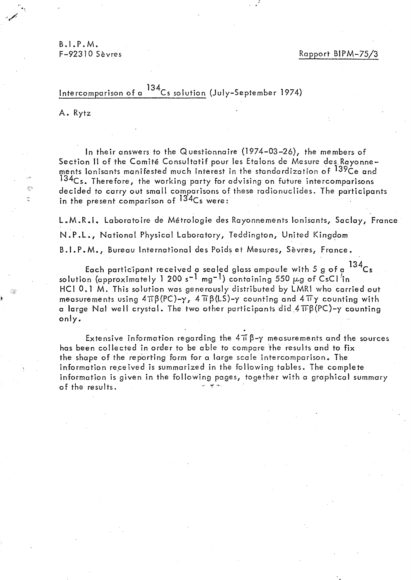**B.I.P.M.**<br>F-92310 Sèvres

Rapport BIPM-75/3

## Intercomparison of a 134Cs solution (July-September 1974)

A. Rytz

\$2

ln their answers to the Questionnaire (1974-03-26), the members of Section II of the Comité Consultatif pour les Etalons de Mesure des Rayonnements Ionisants manifested much interest in the standardization of 139Ce and  $134C$ s. Therefore, the working party for advising on future intercomparisons decided to carry out smalt comparisons of these radionuclides. The participants in the present comparison of <sup>134</sup>Cs were:

L.M.R.I. Laboratoire de Métrologie des Rayonnements Ionisants, Saclay, France N.P.L., National Physical Laboratory, Teddington, United Kingdom B.I.P.M., Bureau International des Poids et Mesures, Sèvres, France.

Each participant received a sealed glass ampoule with 5 g of a  $^{134}$ Cs solution (approximately 1 200 s<sup>-1</sup> mg<sup>-1</sup>) containing 550  $\mu$ g of CsCl<sup>7</sup>in HCI 0.1 M. This solution was generously distributed by LMRI who carried out measurements using  $4\pi\beta(PC)-\gamma$ ,  $4\pi\beta(LS)-\gamma$  counting and  $4\pi\gamma$  counting with a large Nal well crystal. The two other participants did  $4\,\text{TFB(PC)}$ -y counting only.

Extensive information regarding the  $4\pi\beta-\gamma$  measurements and the sources has been collected in order to be able to compare the results and to fix the shape of the reporting form for a large scale intercomparison. The information received is summarized in the following tables. The complete information is given in the following pages, together with a graphical summary of the results.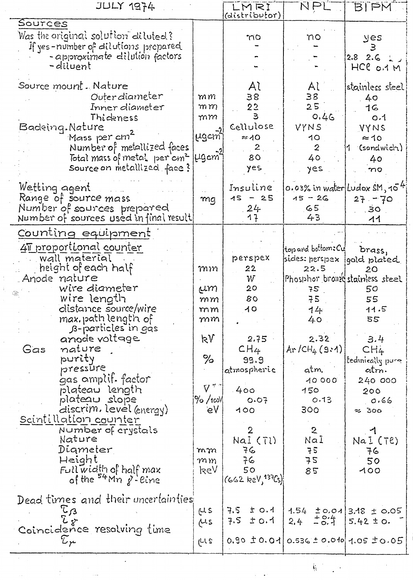| <b>JULY 1974</b>                                                                                                                                                                                                                                                                                                                                                                                                                                                                               |                                                                                                       | LMRI                                                                                                                                                                 | NPL                                                                                                                                                                                                                                  | <b>BIPM</b>                                                                                                                                                             |
|------------------------------------------------------------------------------------------------------------------------------------------------------------------------------------------------------------------------------------------------------------------------------------------------------------------------------------------------------------------------------------------------------------------------------------------------------------------------------------------------|-------------------------------------------------------------------------------------------------------|----------------------------------------------------------------------------------------------------------------------------------------------------------------------|--------------------------------------------------------------------------------------------------------------------------------------------------------------------------------------------------------------------------------------|-------------------------------------------------------------------------------------------------------------------------------------------------------------------------|
| Sources                                                                                                                                                                                                                                                                                                                                                                                                                                                                                        |                                                                                                       | (distributor)                                                                                                                                                        |                                                                                                                                                                                                                                      |                                                                                                                                                                         |
| Was the original solution diluted?<br>If yes-number of dilutions prepared<br>- approximate dilution factors<br>-diluent                                                                                                                                                                                                                                                                                                                                                                        |                                                                                                       | mo                                                                                                                                                                   | no                                                                                                                                                                                                                                   | yes<br>3<br>$2.8$ 2.6 $\frac{1}{2}$<br>HCC O.1 M                                                                                                                        |
| Source mount . Nature<br>Outerdiameter<br>Inner diameter<br>Thideness<br>Backing.Nature<br>Mass per cm <sup>2</sup><br>Number of metallized faces<br>Total mass of metal per cm2  UgemT<br>Source on metallized face?                                                                                                                                                                                                                                                                          | mm<br>$m\,m$<br>mm<br>ygcm"                                                                           | Al<br>38<br>22<br>$\mathbf{3}$<br>Cellulose<br>$\approx$ 10<br>$\mathbf{2}$<br>80<br>yes                                                                             | Al<br>38<br>25<br>0.46<br>VYNS<br>10<br>$\mathbf{2}$<br>40<br>yes                                                                                                                                                                    | stainless steel<br>40<br>16<br>O.1<br>VYNS<br>$\approx$ 10<br>1 (sandwich)<br>40<br>nQ                                                                                  |
| Wetting agent<br>Range of source mass<br>Number of sources prepared<br>Number of sources used in final result                                                                                                                                                                                                                                                                                                                                                                                  | mg                                                                                                    | Insuline<br>15<br>$-25$<br>24<br>イー                                                                                                                                  | $15 - 26$<br>୍ବ5ା<br>43                                                                                                                                                                                                              | $0.03\%$ in water Ludox SM, $10^{4}$<br>$27 - 70$<br>.30 <sub>1</sub><br>$\overline{11}$                                                                                |
| Counting equipment<br>41 proportional counter<br>wall material<br>height of each half<br>Anode nature<br>wire diameter<br>wire length<br>distance source/wire<br>max.pathlength of<br>B-particles in gas<br>anode voltage<br>nature<br>Gas<br>purity<br>pressūre<br>gas amplif. factor<br>blateau length<br>plateau slope<br>discrim, level (energy)<br><u>Scintillation counter</u><br>Number of crystals<br>Nature<br>Diameter<br>Height<br>$Fullwidth$ of half max<br>of the $54$ Mn g-eine | mm<br>Um.<br>mm<br>mm<br>mm<br>kV<br>℅<br>$\nabla^{*\sigma}$<br>90/100M<br>e۷<br>mm<br>$m$ $m$<br>keV | perspex<br>22<br>W<br>20 <sub>o</sub><br>80<br>10<br>2.75<br>CH4<br>99.9<br>atmospheric<br>400<br>O.07<br>100<br>2<br>Nai (Tl)<br>76<br>76<br>50<br>(662 keV, 137Cs) | top and bottom: Cu<br>sides: perspex  gold plated<br>22.5<br>Phosphor bromed stainless steel<br>75<br>75<br>$14$  <br>40<br>2.32<br>$Ar/CH_{4}(9:1)$<br>atm.<br>10000<br>150<br>0.13<br>300<br>$\mathbf{2}$<br>Nal<br>75<br>75<br>85 | brass,<br>20<br>50<br>55<br>11.5<br>55<br>3.4<br>CH <sub>4</sub><br>tedinically pure<br>atm.<br>240 000<br>200<br>0.66<br>$\approx$ 300<br>Na I (Te)<br>76<br>50<br>100 |
| Dead times and their uncertainties<br>$\tau_{\mathcal{B}}$<br>Coincidence resolving time<br>$\mathcal{T}_{\bm{\varkappa}}$                                                                                                                                                                                                                                                                                                                                                                     | LL S<br>Ms<br>الدا 2                                                                                  | ± 0.1<br>7.5<br>$7.5$ $\pm$ 0.1                                                                                                                                      | $2.4 \pm 0.4$<br>$0.90 \pm 0.01$ $0.536 \pm 0.010$ $1.05 \pm 0.05$                                                                                                                                                                   | $1.54$ $\pm$ 0.01 3.18 $\pm$ 0.05<br>$5.42 \pm 0.$                                                                                                                      |
|                                                                                                                                                                                                                                                                                                                                                                                                                                                                                                |                                                                                                       |                                                                                                                                                                      |                                                                                                                                                                                                                                      |                                                                                                                                                                         |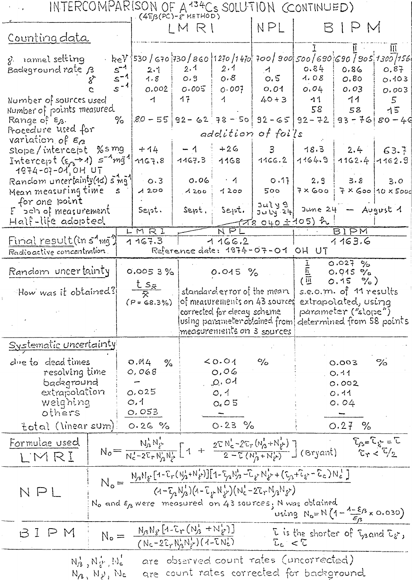| $(4\pi\beta(PC)-e$ HETHOD)<br>NPL<br>BIPM<br>LM RI<br>Counting data<br>$\mathfrak m$<br>. keV  530 / 670  730 / 860  1270 /1 470  700   9 <i>00  500   690  690   905  1300  156</i><br>g rannel setting<br>$s^{-1}$<br>2.1<br>2.1<br>0.84<br>Badeground rate B<br>0.87<br>0.86<br>2.1<br>$\boldsymbol{\mathcal{A}}$<br>$s^{-1}$<br>O.5<br>0.8<br>O.9<br>1.08<br>1.8<br>O.80<br>0.103<br>$s^{-4}$<br>0.01<br>0.002<br>$O \cdot 005$<br>0.007<br>0.04<br>0.03<br>0.003<br>17<br>$\uparrow$<br>$40 + 3$<br>$-11$<br>11<br>$5^{\circ}$<br>$\uparrow$<br>Number of sources used<br>58<br>15<br>Number of points measured<br>58<br>$[.80 - 55]$ 92 - 62 78 - 50 92 - 65 92 - 72<br>$93 - 7680 - 40$<br>℅<br>Range of Es.<br>Procedure used for<br>addition of foi's<br>variation of $\epsilon_{\alpha}$<br>$-1$ $+$<br>$+26$<br>slope/intercept %smg<br>$+14$<br>$3 -$<br>18.3<br>$2.4 -$<br>63.7<br>Intercept $(\epsilon_{\Omega} \rightarrow 1)$ $s^{-1}$ mg <sup>1</sup><br>1164.9<br>1167.3<br>1166.2<br>$1162.4$ $1162.9$<br>1168<br>1167.8<br>$1974 - 07 - 010$ OH UT<br>Random uncertainty(16) 5 mg1<br>$0.06 + 1$<br>  0.17  <br>2.9<br>$\cdot$ 0.3<br>3.8<br>3.0<br>Mean measuring time s<br>$7 \times$ Goo $1$<br>$7 \times$ Goo 10 $\times$ 5000<br>1200<br>1200<br>500<br>1200<br>for one point<br>3ulyg<br>$\overline{34}$ $\overline{24}$ June 24 - August 1<br>Sept. Sept.<br>  Sept.<br>$E$ $\in$ $\mathbb{R}$ $\in$ $\mathbb{R}$ measurement<br>Half-life adopted.<br><u> 18 040 ± 1</u> 05) h<br>NPL<br>LMRI<br><b>BIPM</b><br><u>Final result</u> (in 5 <sup>1</sup> mg <sup>1</sup> )<br>1167.3<br>1166.2<br>1163.6<br>Reference date: 1974-07-01 OH UT<br>Radioactive concentration<br>$0.027\%$<br>Random uncertainty<br>$\begin{pmatrix}\n\frac{\overline{11}}{\overline{111}} \\ \frac{\overline{111}}{\overline{111}}\n\end{pmatrix}$<br>0.0053%<br>$0.015 \%$<br>$0.915$ %<br>$0.15\frac{9}{6}$<br>$t s_{\bar{x}}$<br>standarder ror of the mean   s.e.o.m. of 11 results<br>How was it obtained? $\mid$<br>$(P = 68.3\%)$ of measurements on 43 sources extrapolated, using<br>corrected for decay scheme<br>parameter ("slope")<br>using parameter obtained from determined from 58 points<br>measurements on 3 sources<br>Systematic uncertainty<br>due to dead times<br>O.M4<br>$\leq$ 0.01<br>$\%$<br>$\%$<br>$\frac{1}{2}$<br>0.003<br>resolving time<br>0,068<br>0,06<br>$\circ$ .41<br>Q, Q<br>badeground<br>0.002<br>extrapolation<br>0.025<br>0, 1<br>0.11<br>weighing<br>O.1<br>O <sub>4</sub> O 5<br>0.04<br>O.053<br>others<br>0.27%<br>$0.23\%$<br>total (linear sum) 0.26 %<br>$T_{\beta} = T_{\delta} - T$<br>Formulae used<br>$N_0 = \frac{N_b^1 N_f^1}{N_c^1 - 2E_r N_b^1 N_f^1} \left[ 1 + \frac{2E N_c^1 - 2E_r (N_b^1 + N_f^1)}{2 - E (N_b^1 + N_f^1)} \right]$ (Bryant)<br>$\mathbb{C}_1 \times \mathbb{C}/2$<br>LWRI<br>$N_o=\frac{N_3N_3\left[1-\Gamma_r(N_3+N_8')\right]\left[1-\Gamma_{r3}N_3'+\Gamma_{r2}N_8'+(\Gamma_{r3}+\Gamma_{s}-\Gamma_c)N_c\right]}{(4-\Gamma_{r3}N_3')\left(4-\Gamma_{r3}N_8'\right)\left(N_c^2-2\Gamma_rN_3N_8\right)}$<br>NPL<br>$N_0$ and $\varepsilon_0$ were measured on 43 sources, N was obtained<br>using $N_0 = N(1 - \frac{\lambda - \epsilon}{\epsilon_0} \times 0.030)$<br>$N_o = \frac{N_{3}N_{\varrho}\left[1-\sum_{r}(N_{3}^{1}+N_{\varrho}^{1})\right]}{(N_{c}-2\sum_{r}N_{3}^{1}N_{\varrho}^{1})(1-\sum_{r}N_{c}^{1})}$<br>L is the shorter of Land L <sub>s</sub> ,<br>BIPM<br>$L_c < \tilde{L}$<br>are observed count rates (uncorrected)<br>$N_3^1, N_2^1, N_6$<br>are count rates corrected for background<br>$N_A, N_{\nu}, N_c$ |  | INTERCOMPARISON OF A <sup>134</sup> Cs SOLUTION (CONTINUED) |  |  |  |  |  |  |
|--------------------------------------------------------------------------------------------------------------------------------------------------------------------------------------------------------------------------------------------------------------------------------------------------------------------------------------------------------------------------------------------------------------------------------------------------------------------------------------------------------------------------------------------------------------------------------------------------------------------------------------------------------------------------------------------------------------------------------------------------------------------------------------------------------------------------------------------------------------------------------------------------------------------------------------------------------------------------------------------------------------------------------------------------------------------------------------------------------------------------------------------------------------------------------------------------------------------------------------------------------------------------------------------------------------------------------------------------------------------------------------------------------------------------------------------------------------------------------------------------------------------------------------------------------------------------------------------------------------------------------------------------------------------------------------------------------------------------------------------------------------------------------------------------------------------------------------------------------------------------------------------------------------------------------------------------------------------------------------------------------------------------------------------------------------------------------------------------------------------------------------------------------------------------------------------------------------------------------------------------------------------------------------------------------------------------------------------------------------------------------------------------------------------------------------------------------------------------------------------------------------------------------------------------------------------------------------------------------------------------------------------------------------------------------------------------------------------------------------------------------------------------------------------------------------------------------------------------------------------------------------------------------------------------------------------------------------------------------------------------------------------------------------------------------------------------------------------------------------------------------------------------------------------------------------------------------------------------------------------------------------------------------------------------------------------------------------------------------------------------------------------------------------------------------------------------------------------------------------------------------------------------------------------------------------------------------------------------------------------------------|--|-------------------------------------------------------------|--|--|--|--|--|--|
|                                                                                                                                                                                                                                                                                                                                                                                                                                                                                                                                                                                                                                                                                                                                                                                                                                                                                                                                                                                                                                                                                                                                                                                                                                                                                                                                                                                                                                                                                                                                                                                                                                                                                                                                                                                                                                                                                                                                                                                                                                                                                                                                                                                                                                                                                                                                                                                                                                                                                                                                                                                                                                                                                                                                                                                                                                                                                                                                                                                                                                                                                                                                                                                                                                                                                                                                                                                                                                                                                                                                                                                                                                |  |                                                             |  |  |  |  |  |  |
|                                                                                                                                                                                                                                                                                                                                                                                                                                                                                                                                                                                                                                                                                                                                                                                                                                                                                                                                                                                                                                                                                                                                                                                                                                                                                                                                                                                                                                                                                                                                                                                                                                                                                                                                                                                                                                                                                                                                                                                                                                                                                                                                                                                                                                                                                                                                                                                                                                                                                                                                                                                                                                                                                                                                                                                                                                                                                                                                                                                                                                                                                                                                                                                                                                                                                                                                                                                                                                                                                                                                                                                                                                |  |                                                             |  |  |  |  |  |  |
|                                                                                                                                                                                                                                                                                                                                                                                                                                                                                                                                                                                                                                                                                                                                                                                                                                                                                                                                                                                                                                                                                                                                                                                                                                                                                                                                                                                                                                                                                                                                                                                                                                                                                                                                                                                                                                                                                                                                                                                                                                                                                                                                                                                                                                                                                                                                                                                                                                                                                                                                                                                                                                                                                                                                                                                                                                                                                                                                                                                                                                                                                                                                                                                                                                                                                                                                                                                                                                                                                                                                                                                                                                |  |                                                             |  |  |  |  |  |  |
|                                                                                                                                                                                                                                                                                                                                                                                                                                                                                                                                                                                                                                                                                                                                                                                                                                                                                                                                                                                                                                                                                                                                                                                                                                                                                                                                                                                                                                                                                                                                                                                                                                                                                                                                                                                                                                                                                                                                                                                                                                                                                                                                                                                                                                                                                                                                                                                                                                                                                                                                                                                                                                                                                                                                                                                                                                                                                                                                                                                                                                                                                                                                                                                                                                                                                                                                                                                                                                                                                                                                                                                                                                |  |                                                             |  |  |  |  |  |  |
|                                                                                                                                                                                                                                                                                                                                                                                                                                                                                                                                                                                                                                                                                                                                                                                                                                                                                                                                                                                                                                                                                                                                                                                                                                                                                                                                                                                                                                                                                                                                                                                                                                                                                                                                                                                                                                                                                                                                                                                                                                                                                                                                                                                                                                                                                                                                                                                                                                                                                                                                                                                                                                                                                                                                                                                                                                                                                                                                                                                                                                                                                                                                                                                                                                                                                                                                                                                                                                                                                                                                                                                                                                |  |                                                             |  |  |  |  |  |  |
|                                                                                                                                                                                                                                                                                                                                                                                                                                                                                                                                                                                                                                                                                                                                                                                                                                                                                                                                                                                                                                                                                                                                                                                                                                                                                                                                                                                                                                                                                                                                                                                                                                                                                                                                                                                                                                                                                                                                                                                                                                                                                                                                                                                                                                                                                                                                                                                                                                                                                                                                                                                                                                                                                                                                                                                                                                                                                                                                                                                                                                                                                                                                                                                                                                                                                                                                                                                                                                                                                                                                                                                                                                |  |                                                             |  |  |  |  |  |  |
|                                                                                                                                                                                                                                                                                                                                                                                                                                                                                                                                                                                                                                                                                                                                                                                                                                                                                                                                                                                                                                                                                                                                                                                                                                                                                                                                                                                                                                                                                                                                                                                                                                                                                                                                                                                                                                                                                                                                                                                                                                                                                                                                                                                                                                                                                                                                                                                                                                                                                                                                                                                                                                                                                                                                                                                                                                                                                                                                                                                                                                                                                                                                                                                                                                                                                                                                                                                                                                                                                                                                                                                                                                |  |                                                             |  |  |  |  |  |  |
|                                                                                                                                                                                                                                                                                                                                                                                                                                                                                                                                                                                                                                                                                                                                                                                                                                                                                                                                                                                                                                                                                                                                                                                                                                                                                                                                                                                                                                                                                                                                                                                                                                                                                                                                                                                                                                                                                                                                                                                                                                                                                                                                                                                                                                                                                                                                                                                                                                                                                                                                                                                                                                                                                                                                                                                                                                                                                                                                                                                                                                                                                                                                                                                                                                                                                                                                                                                                                                                                                                                                                                                                                                |  |                                                             |  |  |  |  |  |  |
|                                                                                                                                                                                                                                                                                                                                                                                                                                                                                                                                                                                                                                                                                                                                                                                                                                                                                                                                                                                                                                                                                                                                                                                                                                                                                                                                                                                                                                                                                                                                                                                                                                                                                                                                                                                                                                                                                                                                                                                                                                                                                                                                                                                                                                                                                                                                                                                                                                                                                                                                                                                                                                                                                                                                                                                                                                                                                                                                                                                                                                                                                                                                                                                                                                                                                                                                                                                                                                                                                                                                                                                                                                |  |                                                             |  |  |  |  |  |  |
|                                                                                                                                                                                                                                                                                                                                                                                                                                                                                                                                                                                                                                                                                                                                                                                                                                                                                                                                                                                                                                                                                                                                                                                                                                                                                                                                                                                                                                                                                                                                                                                                                                                                                                                                                                                                                                                                                                                                                                                                                                                                                                                                                                                                                                                                                                                                                                                                                                                                                                                                                                                                                                                                                                                                                                                                                                                                                                                                                                                                                                                                                                                                                                                                                                                                                                                                                                                                                                                                                                                                                                                                                                |  |                                                             |  |  |  |  |  |  |
|                                                                                                                                                                                                                                                                                                                                                                                                                                                                                                                                                                                                                                                                                                                                                                                                                                                                                                                                                                                                                                                                                                                                                                                                                                                                                                                                                                                                                                                                                                                                                                                                                                                                                                                                                                                                                                                                                                                                                                                                                                                                                                                                                                                                                                                                                                                                                                                                                                                                                                                                                                                                                                                                                                                                                                                                                                                                                                                                                                                                                                                                                                                                                                                                                                                                                                                                                                                                                                                                                                                                                                                                                                |  |                                                             |  |  |  |  |  |  |
|                                                                                                                                                                                                                                                                                                                                                                                                                                                                                                                                                                                                                                                                                                                                                                                                                                                                                                                                                                                                                                                                                                                                                                                                                                                                                                                                                                                                                                                                                                                                                                                                                                                                                                                                                                                                                                                                                                                                                                                                                                                                                                                                                                                                                                                                                                                                                                                                                                                                                                                                                                                                                                                                                                                                                                                                                                                                                                                                                                                                                                                                                                                                                                                                                                                                                                                                                                                                                                                                                                                                                                                                                                |  |                                                             |  |  |  |  |  |  |
|                                                                                                                                                                                                                                                                                                                                                                                                                                                                                                                                                                                                                                                                                                                                                                                                                                                                                                                                                                                                                                                                                                                                                                                                                                                                                                                                                                                                                                                                                                                                                                                                                                                                                                                                                                                                                                                                                                                                                                                                                                                                                                                                                                                                                                                                                                                                                                                                                                                                                                                                                                                                                                                                                                                                                                                                                                                                                                                                                                                                                                                                                                                                                                                                                                                                                                                                                                                                                                                                                                                                                                                                                                |  |                                                             |  |  |  |  |  |  |
|                                                                                                                                                                                                                                                                                                                                                                                                                                                                                                                                                                                                                                                                                                                                                                                                                                                                                                                                                                                                                                                                                                                                                                                                                                                                                                                                                                                                                                                                                                                                                                                                                                                                                                                                                                                                                                                                                                                                                                                                                                                                                                                                                                                                                                                                                                                                                                                                                                                                                                                                                                                                                                                                                                                                                                                                                                                                                                                                                                                                                                                                                                                                                                                                                                                                                                                                                                                                                                                                                                                                                                                                                                |  |                                                             |  |  |  |  |  |  |
|                                                                                                                                                                                                                                                                                                                                                                                                                                                                                                                                                                                                                                                                                                                                                                                                                                                                                                                                                                                                                                                                                                                                                                                                                                                                                                                                                                                                                                                                                                                                                                                                                                                                                                                                                                                                                                                                                                                                                                                                                                                                                                                                                                                                                                                                                                                                                                                                                                                                                                                                                                                                                                                                                                                                                                                                                                                                                                                                                                                                                                                                                                                                                                                                                                                                                                                                                                                                                                                                                                                                                                                                                                |  |                                                             |  |  |  |  |  |  |
|                                                                                                                                                                                                                                                                                                                                                                                                                                                                                                                                                                                                                                                                                                                                                                                                                                                                                                                                                                                                                                                                                                                                                                                                                                                                                                                                                                                                                                                                                                                                                                                                                                                                                                                                                                                                                                                                                                                                                                                                                                                                                                                                                                                                                                                                                                                                                                                                                                                                                                                                                                                                                                                                                                                                                                                                                                                                                                                                                                                                                                                                                                                                                                                                                                                                                                                                                                                                                                                                                                                                                                                                                                |  |                                                             |  |  |  |  |  |  |
|                                                                                                                                                                                                                                                                                                                                                                                                                                                                                                                                                                                                                                                                                                                                                                                                                                                                                                                                                                                                                                                                                                                                                                                                                                                                                                                                                                                                                                                                                                                                                                                                                                                                                                                                                                                                                                                                                                                                                                                                                                                                                                                                                                                                                                                                                                                                                                                                                                                                                                                                                                                                                                                                                                                                                                                                                                                                                                                                                                                                                                                                                                                                                                                                                                                                                                                                                                                                                                                                                                                                                                                                                                |  |                                                             |  |  |  |  |  |  |
|                                                                                                                                                                                                                                                                                                                                                                                                                                                                                                                                                                                                                                                                                                                                                                                                                                                                                                                                                                                                                                                                                                                                                                                                                                                                                                                                                                                                                                                                                                                                                                                                                                                                                                                                                                                                                                                                                                                                                                                                                                                                                                                                                                                                                                                                                                                                                                                                                                                                                                                                                                                                                                                                                                                                                                                                                                                                                                                                                                                                                                                                                                                                                                                                                                                                                                                                                                                                                                                                                                                                                                                                                                |  |                                                             |  |  |  |  |  |  |
|                                                                                                                                                                                                                                                                                                                                                                                                                                                                                                                                                                                                                                                                                                                                                                                                                                                                                                                                                                                                                                                                                                                                                                                                                                                                                                                                                                                                                                                                                                                                                                                                                                                                                                                                                                                                                                                                                                                                                                                                                                                                                                                                                                                                                                                                                                                                                                                                                                                                                                                                                                                                                                                                                                                                                                                                                                                                                                                                                                                                                                                                                                                                                                                                                                                                                                                                                                                                                                                                                                                                                                                                                                |  |                                                             |  |  |  |  |  |  |
|                                                                                                                                                                                                                                                                                                                                                                                                                                                                                                                                                                                                                                                                                                                                                                                                                                                                                                                                                                                                                                                                                                                                                                                                                                                                                                                                                                                                                                                                                                                                                                                                                                                                                                                                                                                                                                                                                                                                                                                                                                                                                                                                                                                                                                                                                                                                                                                                                                                                                                                                                                                                                                                                                                                                                                                                                                                                                                                                                                                                                                                                                                                                                                                                                                                                                                                                                                                                                                                                                                                                                                                                                                |  |                                                             |  |  |  |  |  |  |
|                                                                                                                                                                                                                                                                                                                                                                                                                                                                                                                                                                                                                                                                                                                                                                                                                                                                                                                                                                                                                                                                                                                                                                                                                                                                                                                                                                                                                                                                                                                                                                                                                                                                                                                                                                                                                                                                                                                                                                                                                                                                                                                                                                                                                                                                                                                                                                                                                                                                                                                                                                                                                                                                                                                                                                                                                                                                                                                                                                                                                                                                                                                                                                                                                                                                                                                                                                                                                                                                                                                                                                                                                                |  |                                                             |  |  |  |  |  |  |
|                                                                                                                                                                                                                                                                                                                                                                                                                                                                                                                                                                                                                                                                                                                                                                                                                                                                                                                                                                                                                                                                                                                                                                                                                                                                                                                                                                                                                                                                                                                                                                                                                                                                                                                                                                                                                                                                                                                                                                                                                                                                                                                                                                                                                                                                                                                                                                                                                                                                                                                                                                                                                                                                                                                                                                                                                                                                                                                                                                                                                                                                                                                                                                                                                                                                                                                                                                                                                                                                                                                                                                                                                                |  |                                                             |  |  |  |  |  |  |
|                                                                                                                                                                                                                                                                                                                                                                                                                                                                                                                                                                                                                                                                                                                                                                                                                                                                                                                                                                                                                                                                                                                                                                                                                                                                                                                                                                                                                                                                                                                                                                                                                                                                                                                                                                                                                                                                                                                                                                                                                                                                                                                                                                                                                                                                                                                                                                                                                                                                                                                                                                                                                                                                                                                                                                                                                                                                                                                                                                                                                                                                                                                                                                                                                                                                                                                                                                                                                                                                                                                                                                                                                                |  |                                                             |  |  |  |  |  |  |
|                                                                                                                                                                                                                                                                                                                                                                                                                                                                                                                                                                                                                                                                                                                                                                                                                                                                                                                                                                                                                                                                                                                                                                                                                                                                                                                                                                                                                                                                                                                                                                                                                                                                                                                                                                                                                                                                                                                                                                                                                                                                                                                                                                                                                                                                                                                                                                                                                                                                                                                                                                                                                                                                                                                                                                                                                                                                                                                                                                                                                                                                                                                                                                                                                                                                                                                                                                                                                                                                                                                                                                                                                                |  |                                                             |  |  |  |  |  |  |
|                                                                                                                                                                                                                                                                                                                                                                                                                                                                                                                                                                                                                                                                                                                                                                                                                                                                                                                                                                                                                                                                                                                                                                                                                                                                                                                                                                                                                                                                                                                                                                                                                                                                                                                                                                                                                                                                                                                                                                                                                                                                                                                                                                                                                                                                                                                                                                                                                                                                                                                                                                                                                                                                                                                                                                                                                                                                                                                                                                                                                                                                                                                                                                                                                                                                                                                                                                                                                                                                                                                                                                                                                                |  |                                                             |  |  |  |  |  |  |
|                                                                                                                                                                                                                                                                                                                                                                                                                                                                                                                                                                                                                                                                                                                                                                                                                                                                                                                                                                                                                                                                                                                                                                                                                                                                                                                                                                                                                                                                                                                                                                                                                                                                                                                                                                                                                                                                                                                                                                                                                                                                                                                                                                                                                                                                                                                                                                                                                                                                                                                                                                                                                                                                                                                                                                                                                                                                                                                                                                                                                                                                                                                                                                                                                                                                                                                                                                                                                                                                                                                                                                                                                                |  |                                                             |  |  |  |  |  |  |
|                                                                                                                                                                                                                                                                                                                                                                                                                                                                                                                                                                                                                                                                                                                                                                                                                                                                                                                                                                                                                                                                                                                                                                                                                                                                                                                                                                                                                                                                                                                                                                                                                                                                                                                                                                                                                                                                                                                                                                                                                                                                                                                                                                                                                                                                                                                                                                                                                                                                                                                                                                                                                                                                                                                                                                                                                                                                                                                                                                                                                                                                                                                                                                                                                                                                                                                                                                                                                                                                                                                                                                                                                                |  |                                                             |  |  |  |  |  |  |
|                                                                                                                                                                                                                                                                                                                                                                                                                                                                                                                                                                                                                                                                                                                                                                                                                                                                                                                                                                                                                                                                                                                                                                                                                                                                                                                                                                                                                                                                                                                                                                                                                                                                                                                                                                                                                                                                                                                                                                                                                                                                                                                                                                                                                                                                                                                                                                                                                                                                                                                                                                                                                                                                                                                                                                                                                                                                                                                                                                                                                                                                                                                                                                                                                                                                                                                                                                                                                                                                                                                                                                                                                                |  |                                                             |  |  |  |  |  |  |
|                                                                                                                                                                                                                                                                                                                                                                                                                                                                                                                                                                                                                                                                                                                                                                                                                                                                                                                                                                                                                                                                                                                                                                                                                                                                                                                                                                                                                                                                                                                                                                                                                                                                                                                                                                                                                                                                                                                                                                                                                                                                                                                                                                                                                                                                                                                                                                                                                                                                                                                                                                                                                                                                                                                                                                                                                                                                                                                                                                                                                                                                                                                                                                                                                                                                                                                                                                                                                                                                                                                                                                                                                                |  |                                                             |  |  |  |  |  |  |
|                                                                                                                                                                                                                                                                                                                                                                                                                                                                                                                                                                                                                                                                                                                                                                                                                                                                                                                                                                                                                                                                                                                                                                                                                                                                                                                                                                                                                                                                                                                                                                                                                                                                                                                                                                                                                                                                                                                                                                                                                                                                                                                                                                                                                                                                                                                                                                                                                                                                                                                                                                                                                                                                                                                                                                                                                                                                                                                                                                                                                                                                                                                                                                                                                                                                                                                                                                                                                                                                                                                                                                                                                                |  |                                                             |  |  |  |  |  |  |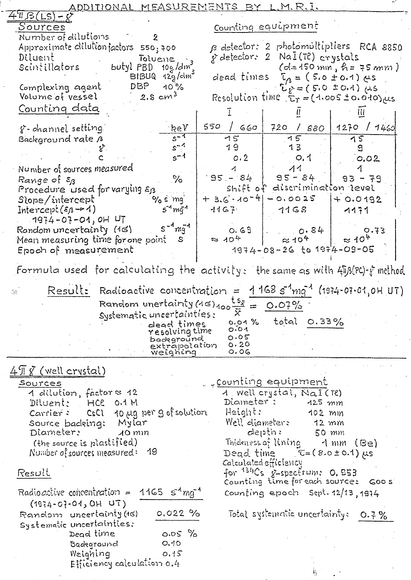| <u>ADDITIONAL MEASUREMENTS BY L.M.R.I.</u>                                     |                                                                              |
|--------------------------------------------------------------------------------|------------------------------------------------------------------------------|
| $4$ 'IL $\beta$ (LS).                                                          |                                                                              |
| Sources                                                                        | Counting equipment                                                           |
| Number of dilutions<br>$\overline{2}$<br>Approximate dilution factors 550; 700 | B detector: 2 photomultipliers RCA 8850                                      |
| Diluent<br>Toluene.                                                            | y detector: 2 NaI(T?) crystals                                               |
| Diluent Toluene<br>Scintillators butyl PBD 10g/dm                              | $(d=150 \text{ mm}, \text{h} = 75 \text{ mm})$                               |
| $BIBUQ$ $12\frac{6}{9}$ / $\text{dm}^3$                                        | dead times $\tau_{A} = (5.0 \pm 0.1)$ $\mu s$                                |
| $10^{6}$<br>DBP<br>Complexing agent                                            | $U_{k} = (5.0 \pm 0.4) \mu s$                                                |
| Volume of vessel<br>$2.5 \, cm^{3}$                                            | Resolution time $E_T = (1.005 \pm 0.010)$ $\mu s$                            |
| Counting data                                                                  |                                                                              |
| ∙keƳ<br>g-channel setting.                                                     | 550<br>/660<br>720 / 880<br>1270 / 1460                                      |
| $s^{-4}$<br>Background rate B                                                  | 75<br>75<br>15                                                               |
| $s^{-4}$                                                                       | 19<br>13                                                                     |
| $s^{-1}$                                                                       | 0.2<br>0.02<br>O, 1                                                          |
| Number of sources measured                                                     | $95 - 84$                                                                    |
| $\%$<br>Range of $\varepsilon_{\!B}$                                           | $95 - 84$<br>$93 - 79$<br>shift of discrimination level                      |
| Procedure used for varying $\varepsilon_{13}$<br>Slope/intercept'<br>$\%$ s mg | $+3.6.10 - 4 - 0.0025$<br>$+0.0192$                                          |
| $54$ mq <sup>4</sup><br>Intercept( $\varepsilon_{\beta}$ -r 1)                 | $1167$ $1168$<br>$-1171$                                                     |
| $-1974 - 07 - 01,$ OH $UT$                                                     |                                                                              |
| $5^{-4}$ $mq$ <sup>-4</sup><br>Random uncertainty (16)                         | $0.69$ $\vert$ $0.84$ $\vert$<br>0.73                                        |
| Mean measuring time for one point<br>S                                         | $\approx 10^{4}$<br>$\approx$ 40 <sup>4</sup><br>$\approx$ 10 <sup>4</sup>   |
| Epoch of measurement                                                           | $1974 - 08 - 26$ to $1974 - 09 - 05$                                         |
|                                                                                | Formula used for calculating the activity: the same as with 4ib(PC) f method |
|                                                                                |                                                                              |
| 35                                                                             | Result: Radioactive concentration = $1168 s1 m q1$ (1974-07-01,0H UT)        |
|                                                                                | Random unertainty $(45)_{400}$ <sup>ts</sup> $\frac{15}{12}$ = 0.07%         |
| Systematic uncertainties:                                                      | X<br>total $0.33\%$<br>0.01%                                                 |
| dead times<br>resolving time                                                   | 0.01                                                                         |
| background<br>extrapolation                                                    | 0.05<br>0.20                                                                 |
| weighing                                                                       | $\circ$ . $\circ$ 6                                                          |
| $4$ II $\bar{g}$ (well crystal)                                                |                                                                              |
| Sources                                                                        | <u>, "counting equipment</u>                                                 |
| 1 dilution, factor≈ 12                                                         | 1 Well crystal, NaI(Te)                                                      |
| Diluent: HCC<br>0.1M                                                           | Diameter :<br>$425$ $mm$                                                     |
| 10 µg per g of solution<br>Carrier: CsCl                                       | Height:<br>$102$ mm                                                          |
| Source badeing: Mylar<br>Diameter:<br>$10$ m $m$                               | Well diameter:<br>$-12$ mm<br>depth:<br>50 mm                                |
| (the source is plastified)                                                     | Thideness of lining 1 mm<br>(Be)                                             |
| Number of sources measured: $19$                                               | Dead time<br>$C = (8.0 \pm 0.1) \mu s$                                       |
|                                                                                | Calculated efficiency                                                        |
| Result                                                                         | for <sup>134</sup> Cs g-spectrum: 0.053                                      |
| Radioactive concentration = 1165 $\sigma^4$ mg <sup>-4</sup>                   | Counting time for each source: Goos                                          |
| $(1974 - 07 - 04, 0H U)$                                                       | Counting epoch Sept. 12/13, 1974                                             |
| Random uncertainty (16)<br>$0.022 \%$                                          | Total systematic uncertainty:<br>0.7%                                        |
| Systematic uncertainties:                                                      |                                                                              |
|                                                                                |                                                                              |
| Dead time<br>$0.05\%$                                                          |                                                                              |
| O.10<br>Badeground                                                             |                                                                              |
| Weighing<br>0.15                                                               |                                                                              |
| Efficiency calculation 0.4                                                     | H.                                                                           |